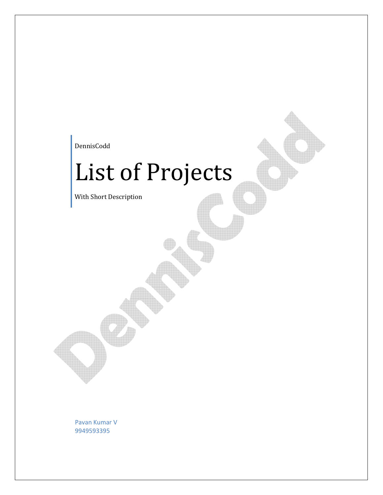DennisCodd

# List of Projects

With Short Description

Pavan Kumar V 9949593395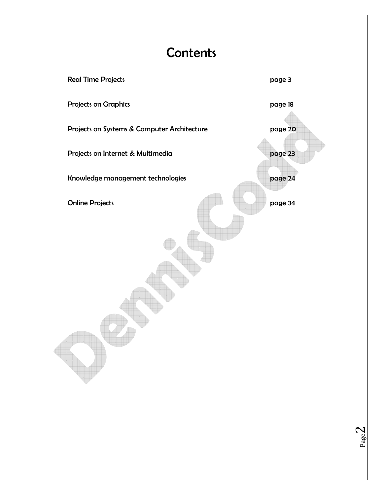### **Contents**



Page $\angle$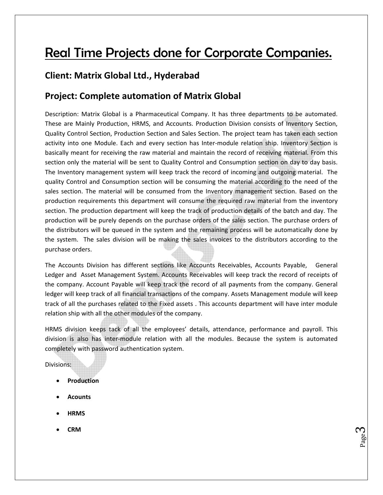## Real Time Projects done for Corporate Companies.

### **Client: Matrix Global Ltd., Hyderabad**

### **Project: Complete automation of Matrix Global**

Description: Matrix Global is a Pharmaceutical Company. It has three departments to be automated. These are Mainly Production, HRMS, and Accounts. Production Division consists of Inventory Section, Quality Control Section, Production Section and Sales Section. The project team has taken each section activity into one Module. Each and every section has Inter-module relation ship. Inventory Section is basically meant for receiving the raw material and maintain the record of receiving material. From this section only the material will be sent to Quality Control and Consumption section on day to day basis. The Inventory management system will keep track the record of incoming and outgoing material. The quality Control and Consumption section will be consuming the material according to the need of the sales section. The material will be consumed from the Inventory management section. Based on the production requirements this department will consume the required raw material from the inventory section. The production department will keep the track of production details of the batch and day. The production will be purely depends on the purchase orders of the sales section. The purchase orders of the distributors will be queued in the system and the remaining process will be automatically done by the system. The sales division will be making the sales invoices to the distributors according to the purchase orders.

The Accounts Division has different sections like Accounts Receivables, Accounts Payable, General Ledger and Asset Management System. Accounts Receivables will keep track the record of receipts of the company. Account Payable will keep track the record of all payments from the company. General ledger will keep track of all financial transactions of the company. Assets Management module will keep track of all the purchases related to the Fixed assets . This accounts department will have inter module relation ship with all the other modules of the company.

HRMS division keeps tack of all the employees' details, attendance, performance and payroll. This division is also has inter‐module relation with all the modules. Because the system is automated completely with password authentication system.

p<sub>age</sub>d

Divisions:

- **Production**
- **Acounts**
- **HRMS**
- **CRM**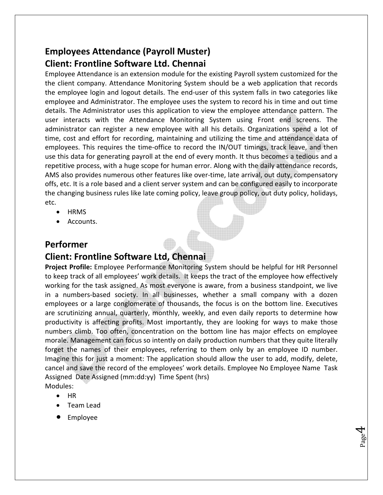### **Employees Attendance (Payroll Muster) Client: Frontline Software Ltd. Chennai**

Employee Attendance is an extension module for the existing Payroll system customized for the the client company. Attendance Monitoring System should be a web application that records the employee login and logout details. The end‐user of this system falls in two categories like employee and Administrator. The employee uses the system to record his in time and out time details. The Administrator uses this application to view the employee attendance pattern. The user interacts with the Attendance Monitoring System using Front end screens. The administrator can register a new employee with all his details. Organizations spend a lot of time, cost and effort for recording, maintaining and utilizing the time and attendance data of employees. This requires the time-office to record the IN/OUT timings, track leave, and then use this data for generating payroll at the end of every month. It thus becomes a tedious and a repetitive process, with a huge scope for human error. Along with the daily attendance records, AMS also provides numerous other features like over-time, late arrival, out duty, compensatory offs, etc. It is a role based and a client server system and can be configured easily to incorporate the changing business rules like late coming policy, leave group policy, out duty policy, holidays, etc.

- HRMS
- Accounts.

### **Performer**

### **Client: Frontline Software Ltd, Chennai**

**Project Profile:** Employee Performance Monitoring System should be helpful for HR Personnel to keep track of all employees' work details. It keeps the tract of the employee how effectively working for the task assigned. As most everyone is aware, from a business standpoint, we live in a numbers‐based society. In all businesses, whether a small company with a dozen employees or a large conglomerate of thousands, the focus is on the bottom line. Executives are scrutinizing annual, quarterly, monthly, weekly, and even daily reports to determine how productivity is affecting profits. Most importantly, they are looking for ways to make those numbers climb. Too often, concentration on the bottom line has major effects on employee morale. Management can focus so intently on daily production numbers that they quite literally forget the names of their employees, referring to them only by an employee ID number. Imagine this for just a moment: The application should allow the user to add, modify, delete, cancel and save the record of the employees' work details. Employee No Employee Name Task Assigned Date Assigned (mm:dd:yy) Time Spent (hrs) Modules:

- HR
- Team Lead
- Employee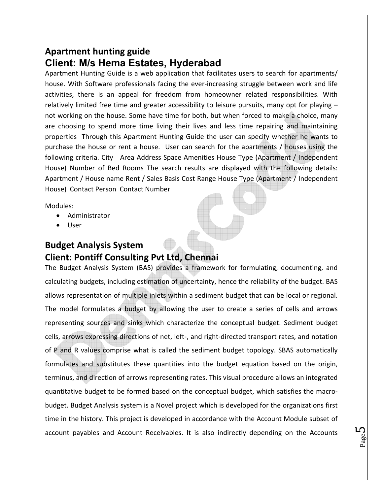### **Apartment hunting guide Client: M/s Hema Estates, Hyderabad**

Apartment Hunting Guide is a web application that facilitates users to search for apartments/ house. With Software professionals facing the ever-increasing struggle between work and life activities, there is an appeal for freedom from homeowner related responsibilities. With relatively limited free time and greater accessibility to leisure pursuits, many opt for playing – not working on the house. Some have time for both, but when forced to make a choice, many are choosing to spend more time living their lives and less time repairing and maintaining properties Through this Apartment Hunting Guide the user can specify whether he wants to purchase the house or rent a house. User can search for the apartments / houses using the following criteria. City Area Address Space Amenities House Type (Apartment / Independent House) Number of Bed Rooms The search results are displayed with the following details: Apartment / House name Rent / Sales Basis Cost Range House Type (Apartment / Independent House) Contact Person Contact Number

Modules:

- Administrator
- User

### **Budget Analysis System Client: Pontiff Consulting Pvt Ltd, Chennai**

The Budget Analysis System (BAS) provides a framework for formulating, documenting, and calculating budgets, including estimation of uncertainty, hence the reliability of the budget. BAS allows representation of multiple inlets within a sediment budget that can be local or regional. The model formulates a budget by allowing the user to create a series of cells and arrows representing sources and sinks which characterize the conceptual budget. Sediment budget cells, arrows expressing directions of net, left‐, and right‐directed transport rates, and notation of P and R values comprise what is called the sediment budget topology. SBAS automatically formulates and substitutes these quantities into the budget equation based on the origin, terminus, and direction of arrows representing rates. This visual procedure allows an integrated quantitative budget to be formed based on the conceptual budget, which satisfies the macro‐ budget. Budget Analysis system is a Novel project which is developed for the organizations first time in the history. This project is developed in accordance with the Account Module subset of account payables and Account Receivables. It is also indirectly depending on the Accounts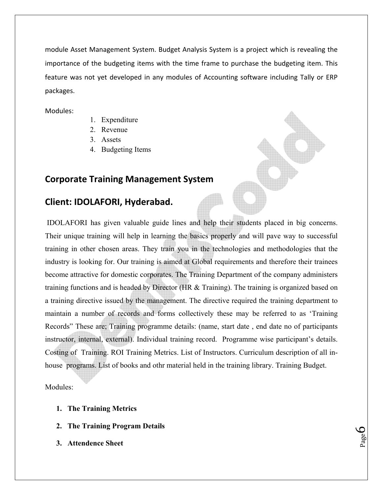module Asset Management System. Budget Analysis System is a project which is revealing the importance of the budgeting items with the time frame to purchase the budgeting item. This feature was not yet developed in any modules of Accounting software including Tally or ERP packages.

Modules:

- 1. Expenditure
- 2. Revenue
- 3. Assets
- 4. Budgeting Items

### **Corporate Training Management System**

### **Client: IDOLAFORI, Hyderabad.**

 IDOLAFORI has given valuable guide lines and help their students placed in big concerns. Their unique training will help in learning the basics properly and will pave way to successful training in other chosen areas. They train you in the technologies and methodologies that the industry is looking for. Our training is aimed at Global requirements and therefore their trainees become attractive for domestic corporates. The Training Department of the company administers training functions and is headed by Director (HR & Training). The training is organized based on a training directive issued by the management. The directive required the training department to maintain a number of records and forms collectively these may be referred to as 'Training Records" These are; Training programme details: (name, start date , end date no of participants instructor, internal, external). Individual training record. Programme wise participant's details. Costing of Training. ROI Training Metrics. List of Instructors. Curriculum description of all inhouse programs. List of books and othr material held in the training library. Training Budget.

**D**aged

Modules:

- **1. The Training Metrics**
- **2. The Training Program Details**
- **3. Attendence Sheet**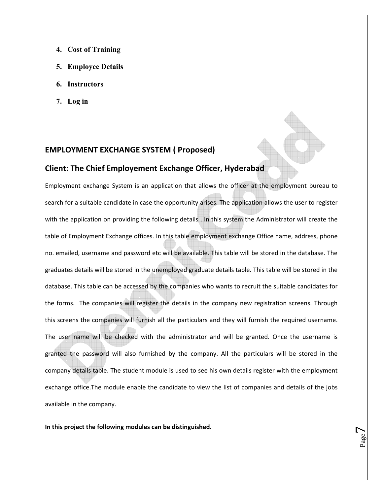- **4. Cost of Training**
- **5. Employee Details**
- **6. Instructors**
- **7. Log in**

#### **EMPLOYMENT EXCHANGE SYSTEM ( Proposed)**

#### **Client: The Chief Employement Exchange Officer, Hyderabad**

Employment exchange System is an application that allows the officer at the employment bureau to search for a suitable candidate in case the opportunity arises. The application allows the user to register with the application on providing the following details . In this system the Administrator will create the table of Employment Exchange offices. In this table employment exchange Office name, address, phone no. emailed, username and password etc will be available. This table will be stored in the database. The graduates details will be stored in the unemployed graduate details table. This table will be stored in the database. This table can be accessed by the companies who wants to recruit the suitable candidates for the forms. The companies will register the details in the company new registration screens. Through this screens the companies will furnish all the particulars and they will furnish the required username. The user name will be checked with the administrator and will be granted. Once the username is granted the password will also furnished by the company. All the particulars will be stored in the company details table. The student module is used to see his own details register with the employment exchange office.The module enable the candidate to view the list of companies and details of the jobs available in the company.

Page<sup>7</sup>

**In this project the following modules can be distinguished.**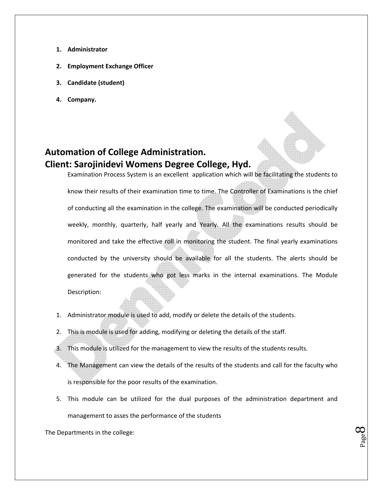- **1. Administrator**
- **2. Employment Exchange Officer**
- **3. Candidate (student)**
- **4. Company.**

### **Automation of College Administration. Client: Sarojinidevi Womens Degree College, Hyd.**

Examination Process System is an excellent application which will be facilitating the students to know their results of their examination time to time. The Controller of Examinations is the chief of conducting all the examination in the college. The examination will be conducted periodically weekly, monthly, quarterly, half yearly and Yearly. All the examinations results should be monitored and take the effective roll in monitoring the student. The final yearly examinations conducted by the university should be available for all the students. The alerts should be generated for the students who got less marks in the internal examinations. The Module Description:

- 1. Administrator module is used to add, modify or delete the details of the students.
- 2. This is module is used for adding, modifying or deleting the details of the staff.
- 3. This module is utilized for the management to view the results of the students results.
- 4. The Management can view the details of the results of the students and call for the faculty who is responsible for the poor results of the examination.
- 5. This module can be utilized for the dual purposes of the administration department and management to asses the performance of the students

**Baged** 

The Departments in the college: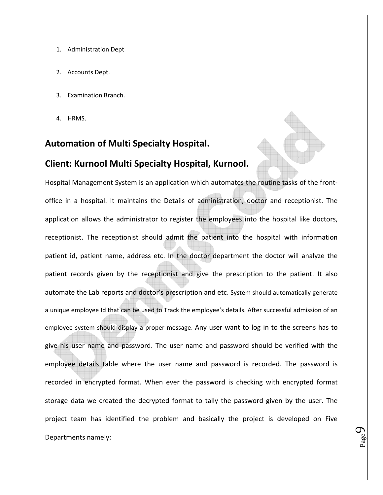- 1. Administration Dept
- 2. Accounts Dept.
- 3. Examination Branch.
- 4. HRMS.

### **Automation of Multi Specialty Hospital.**

#### **Client: Kurnool Multi Specialty Hospital, Kurnool.**

Hospital Management System is an application which automates the routine tasks of the front‐ office in a hospital. It maintains the Details of administration, doctor and receptionist. The application allows the administrator to register the employees into the hospital like doctors, receptionist. The receptionist should admit the patient into the hospital with information patient id, patient name, address etc. In the doctor department the doctor will analyze the patient records given by the receptionist and give the prescription to the patient. It also automate the Lab reports and doctor's prescription and etc. System should automatically generate a unique employee Id that can be used to Track the employee's details. After successful admission of an employee system should display a proper message. Any user want to log in to the screens has to give his user name and password. The user name and password should be verified with the employee details table where the user name and password is recorded. The password is recorded in encrypted format. When ever the password is checking with encrypted format storage data we created the decrypted format to tally the password given by the user. The project team has identified the problem and basically the project is developed on Five Departments namely:

p<sub>age</sub>9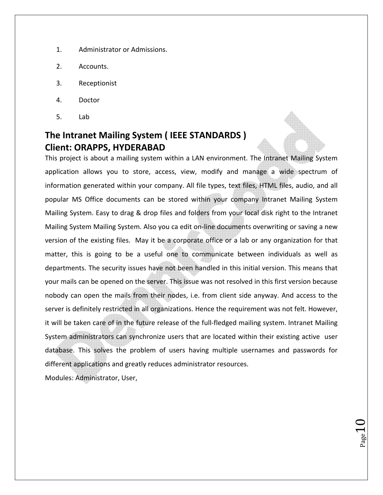- 1. Administrator or Admissions.
- 2. Accounts.
- 3. Receptionist
- 4. Doctor
- 5. Lab

### **The Intranet Mailing System ( IEEE STANDARDS ) Client: ORAPPS, HYDERABAD**

This project is about a mailing system within a LAN environment. The Intranet Mailing System application allows you to store, access, view, modify and manage a wide spectrum of information generated within your company. All file types, text files, HTML files, audio, and all popular MS Office documents can be stored within your company Intranet Mailing System Mailing System. Easy to drag & drop files and folders from your local disk right to the Intranet Mailing System Mailing System. Also you ca edit on‐line documents overwriting or saving a new version of the existing files. May it be a corporate office or a lab or any organization for that matter, this is going to be a useful one to communicate between individuals as well as departments. The security issues have not been handled in this initial version. This means that your mails can be opened on the server. This issue was not resolved in this first version because nobody can open the mails from their nodes, i.e. from client side anyway. And access to the server is definitely restricted in all organizations. Hence the requirement was not felt. However, it will be taken care of in the future release of the full-fledged mailing system. Intranet Mailing System administrators can synchronize users that are located within their existing active user database. This solves the problem of users having multiple usernames and passwords for different applications and greatly reduces administrator resources.

 $_{\rm Page}10$ 

Modules: Administrator, User,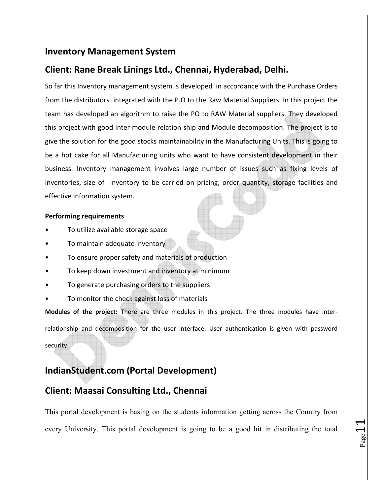### **Inventory Management System**

### **Client: Rane Break Linings Ltd., Chennai, Hyderabad, Delhi.**

So far this Inventory management system is developed in accordance with the Purchase Orders from the distributors integrated with the P.O to the Raw Material Suppliers. In this project the team has developed an algorithm to raise the PO to RAW Material suppliers. They developed this project with good inter module relation ship and Module decomposition. The project is to give the solution for the good stocks maintainability in the Manufacturing Units. This is going to be a hot cake for all Manufacturing units who want to have consistent development in their business. Inventory management involves large number of issues such as fixing levels of inventories, size of inventory to be carried on pricing, order quantity, storage facilities and effective information system.

#### **Performing requirements**

- To utilize available storage space
- To maintain adequate inventory
- To ensure proper safety and materials of production
- To keep down investment and inventory at minimum
- To generate purchasing orders to the suppliers
- To monitor the check against loss of materials

**Modules of the project:** There are three modules in this project. The three modules have inter‐ relationship and decomposition for the user interface. User authentication is given with password security.

### **IndianStudent.com (Portal Development)**

### **Client: Maasai Consulting Ltd., Chennai**

This portal development is basing on the students information getting across the Country from every University. This portal development is going to be a good hit in distributing the total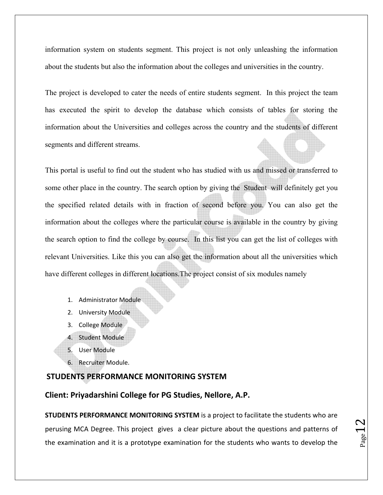information system on students segment. This project is not only unleashing the information about the students but also the information about the colleges and universities in the country.

The project is developed to cater the needs of entire students segment. In this project the team has executed the spirit to develop the database which consists of tables for storing the information about the Universities and colleges across the country and the students of different segments and different streams.

This portal is useful to find out the student who has studied with us and missed or transferred to some other place in the country. The search option by giving the Student will definitely get you the specified related details with in fraction of second before you. You can also get the information about the colleges where the particular course is available in the country by giving the search option to find the college by course. In this list you can get the list of colleges with relevant Universities. Like this you can also get the information about all the universities which have different colleges in different locations.The project consist of six modules namely

- 1. Administrator Module
- 2. University Module
- 3. College Module
- 4. Student Module
- 5. User Module
- 6. Recruiter Module.

#### **STUDENTS PERFORMANCE MONITORING SYSTEM**

#### **Client: Priyadarshini College for PG Studies, Nellore, A.P.**

**STUDENTS PERFORMANCE MONITORING SYSTEM** is a project to facilitate the students who are perusing MCA Degree. This project gives a clear picture about the questions and patterns of the examination and it is a prototype examination for the students who wants to develop the

$$
P_{\rm age}12
$$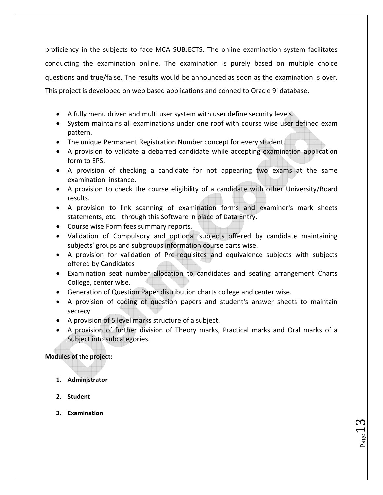proficiency in the subjects to face MCA SUBJECTS. The online examination system facilitates conducting the examination online. The examination is purely based on multiple choice questions and true/false. The results would be announced as soon as the examination is over. This project is developed on web based applications and conned to Oracle 9i database.

- A fully menu driven and multi user system with user define security levels.
- System maintains all examinations under one roof with course wise user defined exam pattern.
- The unique Permanent Registration Number concept for every student.
- A provision to validate a debarred candidate while accepting examination application form to EPS.
- A provision of checking a candidate for not appearing two exams at the same examination instance.
- A provision to check the course eligibility of a candidate with other University/Board results.
- A provision to link scanning of examination forms and examiner's mark sheets statements, etc. through this Software in place of Data Entry.
- Course wise Form fees summary reports.
- Validation of Compulsory and optional subjects offered by candidate maintaining subjects' groups and subgroups information course parts wise.
- A provision for validation of Pre‐requisites and equivalence subjects with subjects offered by Candidates
- Examination seat number allocation to candidates and seating arrangement Charts College, center wise.
- Generation of Question Paper distribution charts college and center wise.
- A provision of coding of question papers and student's answer sheets to maintain secrecy.
- A provision of 5 level marks structure of a subject.
- A provision of further division of Theory marks, Practical marks and Oral marks of a Subject into subcategories.

 $P_{{\rm age}}13$ 

#### **Modules of the project:**

- **1. Administrator**
- **2. Student**
- **3. Examination**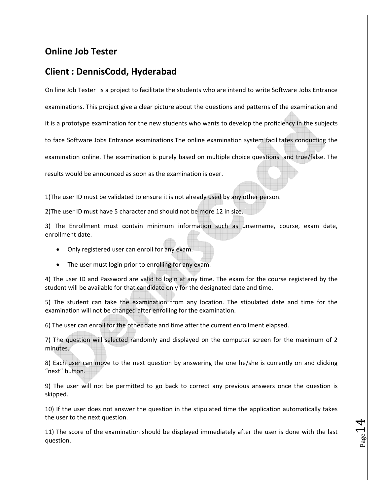### **Online Job Tester**

### **Client : DennisCodd, Hyderabad**

On line Job Tester is a project to facilitate the students who are intend to write Software Jobs Entrance examinations. This project give a clear picture about the questions and patterns of the examination and it is a prototype examination for the new students who wants to develop the proficiency in the subjects to face Software Jobs Entrance examinations.The online examination system facilitates conducting the examination online. The examination is purely based on multiple choice questions and true/false. The results would be announced as soon as the examination is over.

1)The user ID must be validated to ensure it is not already used by any other person.

2)The user ID must have 5 character and should not be more 12 in size.

3) The Enrollment must contain minimum information such as unsername, course, exam date, enrollment date.

- Only registered user can enroll for any exam.
- The user must login prior to enrolling for any exam.

4) The user ID and Password are valid to login at any time. The exam for the course registered by the student will be available for that candidate only for the designated date and time.

5) The student can take the examination from any location. The stipulated date and time for the examination will not be changed after enrolling for the examination.

6) The user can enroll for the other date and time after the current enrollment elapsed.

7) The question will selected randomly and displayed on the computer screen for the maximum of 2 minutes.

8) Each user can move to the next question by answering the one he/she is currently on and clicking "next" button.

9) The user will not be permitted to go back to correct any previous answers once the question is skipped.

10) If the user does not answer the question in the stipulated time the application automatically takes the user to the next question.

11) The score of the examination should be displayed immediately after the user is done with the last question.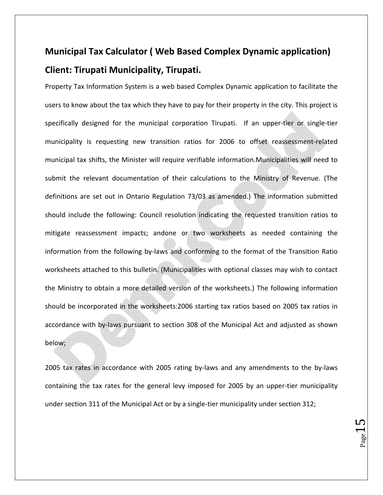### **Municipal Tax Calculator ( Web Based Complex Dynamic application) Client: Tirupati Municipality, Tirupati.**

Property Tax Information System is a web based Complex Dynamic application to facilitate the users to know about the tax which they have to pay for their property in the city. This project is specifically designed for the municipal corporation Tirupati. If an upper-tier or single-tier municipality is requesting new transition ratios for 2006 to offset reassessment‐related municipal tax shifts, the Minister will require verifiable information.Municipalities will need to submit the relevant documentation of their calculations to the Ministry of Revenue. (The definitions are set out in Ontario Regulation 73/03 as amended.) The information submitted should include the following: Council resolution indicating the requested transition ratios to mitigate reassessment impacts; andone or two worksheets as needed containing the information from the following by‐laws and conforming to the format of the Transition Ratio worksheets attached to this bulletin. (Municipalities with optional classes may wish to contact the Ministry to obtain a more detailed version of the worksheets.) The following information should be incorporated in the worksheets:2006 starting tax ratios based on 2005 tax ratios in accordance with by‐laws pursuant to section 308 of the Municipal Act and adjusted as shown below;

2005 tax rates in accordance with 2005 rating by-laws and any amendments to the by-laws containing the tax rates for the general levy imposed for 2005 by an upper‐tier municipality under section 311 of the Municipal Act or by a single‐tier municipality under section 312;

 $P_{\text{age}}15$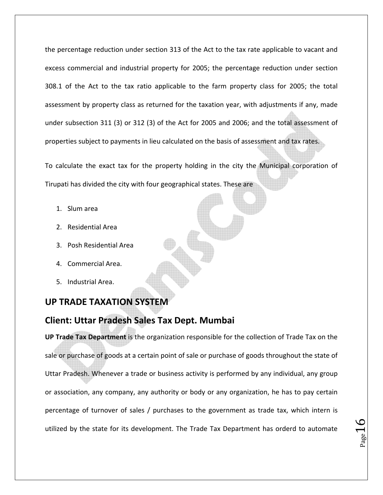the percentage reduction under section 313 of the Act to the tax rate applicable to vacant and excess commercial and industrial property for 2005; the percentage reduction under section 308.1 of the Act to the tax ratio applicable to the farm property class for 2005; the total assessment by property class as returned for the taxation year, with adjustments if any, made under subsection 311 (3) or 312 (3) of the Act for 2005 and 2006; and the total assessment of properties subject to payments in lieu calculated on the basis of assessment and tax rates.

To calculate the exact tax for the property holding in the city the Municipal corporation of Tirupati has divided the city with four geographical states. These are

- 1. Slum area
- 2. Residential Area
- 3. Posh Residential Area
- 4. Commercial Area.
- 5. Industrial Area.

### **UP TRADE TAXATION SYSTEM**

### **Client: Uttar Pradesh Sales Tax Dept. Mumbai**

**UP Trade Tax Department** is the organization responsible for the collection of Trade Tax on the sale or purchase of goods at a certain point of sale or purchase of goods throughout the state of Uttar Pradesh. Whenever a trade or business activity is performed by any individual, any group or association, any company, any authority or body or any organization, he has to pay certain percentage of turnover of sales / purchases to the government as trade tax, which intern is utilized by the state for its development. The Trade Tax Department has orderd to automate

 $P_{{\rm age}}16$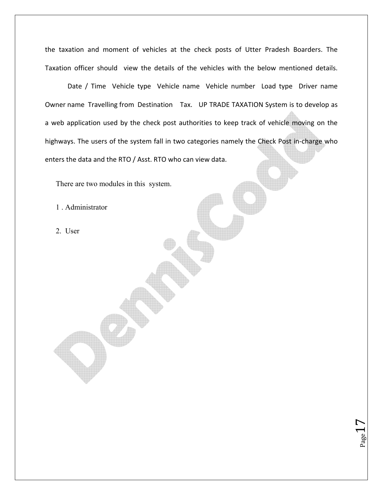the taxation and moment of vehicles at the check posts of Utter Pradesh Boarders. The Taxation officer should view the details of the vehicles with the below mentioned details.

 Date / Time Vehicle type Vehicle name Vehicle number Load type Driver name Owner name Travelling from Destination Tax. UP TRADE TAXATION System is to develop as a web application used by the check post authorities to keep track of vehicle moving on the highways. The users of the system fall in two categories namely the Check Post in‐charge who enters the data and the RTO / Asst. RTO who can view data.

 $_{\rm Page}17$ 

There are two modules in this system.

1 . Administrator

2. User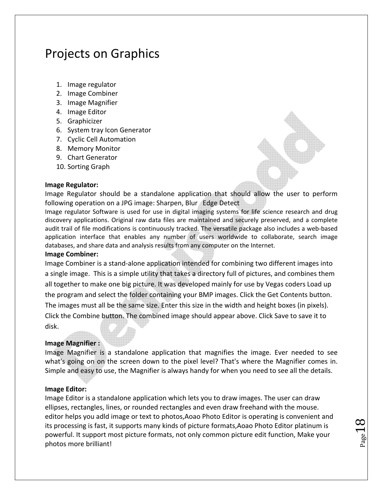### Projects on Graphics

- 1. Image regulator
- 2. Image Combiner
- 3. Image Magnifier
- 4. Image Editor
- 5. Graphicizer
- 6. System tray Icon Generator
- 7. Cyclic Cell Automation
- 8. Memory Monitor
- 9. Chart Generator
- 10. Sorting Graph

#### **Image Regulator:**

Image Regulator should be a standalone application that should allow the user to perform following operation on a JPG image: Sharpen, Blur Edge Detect

Image regulator Software is used for use in digital imaging systems for life science research and drug discovery applications. Original raw data files are maintained and securely preserved, and a complete audit trail of file modifications is continuously tracked. The versatile package also includes a web-based application interface that enables any number of users worldwide to collaborate, search image databases, and share data and analysis results from any computer on the Internet.

#### **Image Combiner:**

Image Combiner is a stand‐alone application intended for combining two different images into a single image. This is a simple utility that takes a directory full of pictures, and combines them all together to make one big picture. It was developed mainly for use by Vegas coders Load up the program and select the folder containing your BMP images. Click the Get Contents button. The images must all be the same size. Enter this size in the width and height boxes (in pixels). Click the Combine button. The combined image should appear above. Click Save to save it to disk.

#### **Image Magnifier :**

Image Magnifier is a standalone application that magnifies the image. Ever needed to see what's going on on the screen down to the pixel level? That's where the Magnifier comes in. Simple and easy to use, the Magnifier is always handy for when you need to see all the details.

#### **Image Editor:**

Image Editor is a standalone application which lets you to draw images. The user can draw ellipses, rectangles, lines, or rounded rectangles and even draw freehand with the mouse. editor helps you adld image or text to photos,Aoao Photo Editor is operating is convenient and its processing is fast, it supports many kinds of picture formats,Aoao Photo Editor platinum is powerful. It support most picture formats, not only common picture edit function, Make your photos more brilliant!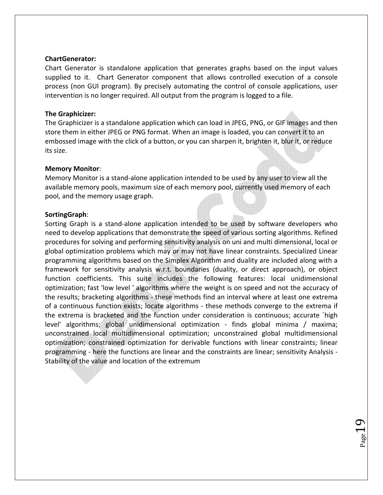#### **ChartGenerator:**

Chart Generator is standalone application that generates graphs based on the input values supplied to it. Chart Generator component that allows controlled execution of a console process (non GUI program). By precisely automating the control of console applications, user intervention is no longer required. All output from the program is logged to a file.

#### **The Graphicizer:**

The Graphicizer is a standalone application which can load in JPEG, PNG, or GIF images and then store them in either JPEG or PNG format. When an image is loaded, you can convert it to an embossed image with the click of a button, or you can sharpen it, brighten it, blur it, or reduce its size.

#### **Memory Monitor**:

Memory Monitor is a stand‐alone application intended to be used by any user to view all the available memory pools, maximum size of each memory pool, currently used memory of each pool, and the memory usage graph.

#### **SortingGraph**:

Sorting Graph is a stand-alone application intended to be used by software developers who need to develop applications that demonstrate the speed of various sorting algorithms. Refined procedures for solving and performing sensitivity analysis on uni and multi dimensional, local or global optimization problems which may or may not have linear constraints. Specialized Linear programming algorithms based on the Simplex Algorithm and duality are included along with a framework for sensitivity analysis w.r.t. boundaries (duality, or direct approach), or object function coefficients. This suite includes the following features: local unidimensional optimization; fast 'low level ' algorithms where the weight is on speed and not the accuracy of the results; bracketing algorithms ‐ these methods find an interval where at least one extrema of a continuous function exists; locate algorithms ‐ these methods converge to the extrema if the extrema is bracketed and the function under consideration is continuous; accurate `high level' algorithms; global unidimensional optimization ‐ finds global minima / maxima; unconstrained local multidimensional optimization; unconstrained global multidimensional optimization; constrained optimization for derivable functions with linear constraints; linear programming ‐ here the functions are linear and the constraints are linear; sensitivity Analysis ‐ Stability of the value and location of the extremum

 $P_{{\rm age}}19$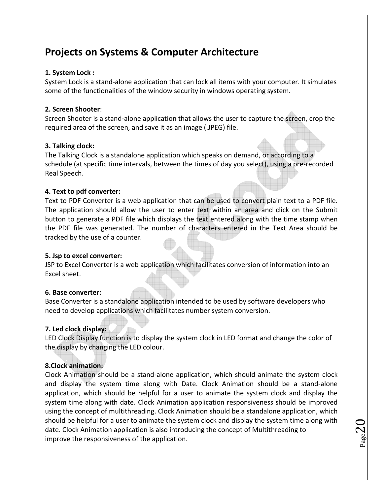### **Projects on Systems & Computer Architecture**

#### **1. System Lock :**

System Lock is a stand‐alone application that can lock all items with your computer. It simulates some of the functionalities of the window security in windows operating system.

#### **2. Screen Shooter**:

Screen Shooter is a stand‐alone application that allows the user to capture the screen, crop the required area of the screen, and save it as an image (.JPEG) file.

#### **3. Talking clock:**

The Talking Clock is a standalone application which speaks on demand, or according to a schedule (at specific time intervals, between the times of day you select), using a pre‐recorded Real Speech.

#### **4. Text to pdf converter:**

Text to PDF Converter is a web application that can be used to convert plain text to a PDF file. The application should allow the user to enter text within an area and click on the Submit button to generate a PDF file which displays the text entered along with the time stamp when the PDF file was generated. The number of characters entered in the Text Area should be tracked by the use of a counter.

#### **5. Jsp to excel converter:**

JSP to Excel Converter is a web application which facilitates conversion of information into an Excel sheet.

#### **6. Base converter:**

Base Converter is a standalone application intended to be used by software developers who need to develop applications which facilitates number system conversion.

#### **7. Led clock display:**

LED Clock Display function is to display the system clock in LED format and change the color of the display by changing the LED colour.

#### **8.Clock animation:**

Clock Animation should be a stand‐alone application, which should animate the system clock and display the system time along with Date. Clock Animation should be a stand‐alone application, which should be helpful for a user to animate the system clock and display the system time along with date. Clock Animation application responsiveness should be improved using the concept of multithreading. Clock Animation should be a standalone application, which should be helpful for a user to animate the system clock and display the system time along with date. Clock Animation application is also introducing the concept of Multithreading to improve the responsiveness of the application.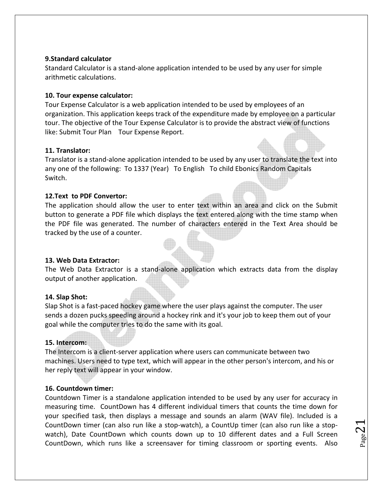#### **9.Standard calculator**

Standard Calculator is a stand‐alone application intended to be used by any user for simple arithmetic calculations.

#### **10. Tour expense calculator:**

Tour Expense Calculator is a web application intended to be used by employees of an organization. This application keeps track of the expenditure made by employee on a particular tour. The objective of the Tour Expense Calculator is to provide the abstract view of functions like: Submit Tour Plan Tour Expense Report.

#### **11. Translator:**

Translator is a stand‐alone application intended to be used by any user to translate the text into any one of the following: To 1337 (Year) To English To child Ebonics Random Capitals Switch.

#### **12.Text to PDF Convertor:**

The application should allow the user to enter text within an area and click on the Submit button to generate a PDF file which displays the text entered along with the time stamp when the PDF file was generated. The number of characters entered in the Text Area should be tracked by the use of a counter.

#### **13. Web Data Extractor:**

The Web Data Extractor is a stand‐alone application which extracts data from the display output of another application.

#### **14. Slap Shot:**

Slap Shot is a fast‐paced hockey game where the user plays against the computer. The user sends a dozen pucks speeding around a hockey rink and it's your job to keep them out of your goal while the computer tries to do the same with its goal.

#### **15. Intercom:**

The Intercom is a client‐server application where users can communicate between two machines. Users need to type text, which will appear in the other person's intercom, and his or her reply text will appear in your window.

#### **16. Countdown timer:**

Countdown Timer is a standalone application intended to be used by any user for accuracy in measuring time. CountDown has 4 different individual timers that counts the time down for your specified task, then displays a message and sounds an alarm (WAV file). Included is a CountDown timer (can also run like a stop‐watch), a CountUp timer (can also run like a stop‐ watch), Date CountDown which counts down up to 10 different dates and a Full Screen CountDown, which runs like a screensaver for timing classroom or sporting events. Also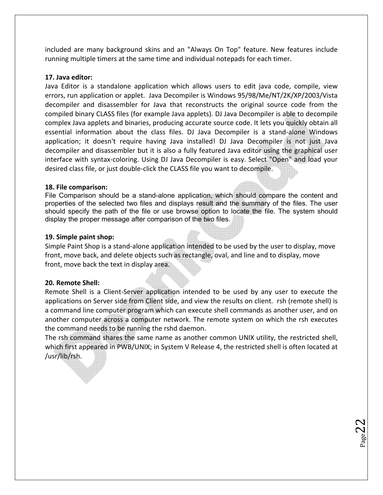included are many background skins and an "Always On Top" feature. New features include running multiple timers at the same time and individual notepads for each timer.

#### **17. Java editor:**

Java Editor is a standalone application which allows users to edit java code, compile, view errors, run application or applet. Java Decompiler is Windows 95/98/Me/NT/2K/XP/2003/Vista decompiler and disassembler for Java that reconstructs the original source code from the compiled binary CLASS files (for example Java applets). DJ Java Decompiler is able to decompile complex Java applets and binaries, producing accurate source code. It lets you quickly obtain all essential information about the class files. DJ Java Decompiler is a stand‐alone Windows application; it doesn't require having Java installed! DJ Java Decompiler is not just Java decompiler and disassembler but it is also a fully featured Java editor using the graphical user interface with syntax‐coloring. Using DJ Java Decompiler is easy. Select "Open" and load your desired class file, or just double‐click the CLASS file you want to decompile.

#### **18. File comparison:**

File Comparison should be a stand-alone application, which should compare the content and properties of the selected two files and displays result and the summary of the files. The user should specify the path of the file or use browse option to locate the file. The system should display the proper message after comparison of the two files.

#### **19. Simple paint shop:**

Simple Paint Shop is a stand‐alone application intended to be used by the user to display, move front, move back, and delete objects such as rectangle, oval, and line and to display, move front, move back the text in display area.

#### **20. Remote Shell:**

Remote Shell is a Client‐Server application intended to be used by any user to execute the applications on Server side from Client side, and view the results on client. rsh (remote shell) is a command line computer program which can execute shell commands as another user, and on another computer across a computer network. The remote system on which the rsh executes the command needs to be running the rshd daemon.

The rsh command shares the same name as another common UNIX utility, the restricted shell, which first appeared in PWB/UNIX; in System V Release 4, the restricted shell is often located at /usr/lib/rsh.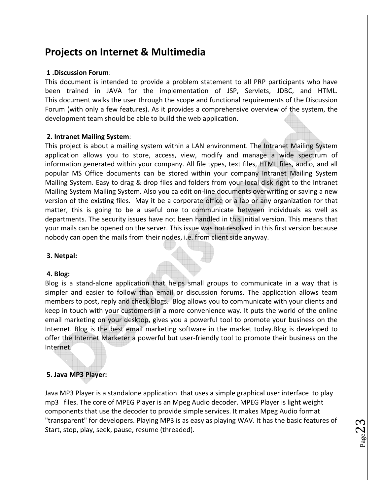### **Projects on Internet & Multimedia**

#### **1 .Discussion Forum**:

This document is intended to provide a problem statement to all PRP participants who have been trained in JAVA for the implementation of JSP, Servlets, JDBC, and HTML. This document walks the user through the scope and functional requirements of the Discussion Forum (with only a few features). As it provides a comprehensive overview of the system, the development team should be able to build the web application.

#### **2. Intranet Mailing System**:

This project is about a mailing system within a LAN environment. The Intranet Mailing System application allows you to store, access, view, modify and manage a wide spectrum of information generated within your company. All file types, text files, HTML files, audio, and all popular MS Office documents can be stored within your company Intranet Mailing System Mailing System. Easy to drag & drop files and folders from your local disk right to the Intranet Mailing System Mailing System. Also you ca edit on-line documents overwriting or saving a new version of the existing files. May it be a corporate office or a lab or any organization for that matter, this is going to be a useful one to communicate between individuals as well as departments. The security issues have not been handled in this initial version. This means that your mails can be opened on the server. This issue was not resolved in this first version because nobody can open the mails from their nodes, i.e. from client side anyway.

#### **3. Netpal:**

#### **4. Blog:**

Blog is a stand‐alone application that helps small groups to communicate in a way that is simpler and easier to follow than email or discussion forums. The application allows team members to post, reply and check blogs. Blog allows you to communicate with your clients and keep in touch with your customers in a more convenience way. It puts the world of the online email marketing on your desktop, gives you a powerful tool to promote your business on the Internet. Blog is the best email marketing software in the market today.Blog is developed to offer the Internet Marketer a powerful but user‐friendly tool to promote their business on the Internet.

#### **5. Java MP3 Player:**

Java MP3 Player is a standalone application that uses a simple graphical user interface to play mp3 files. The core of MPEG Player is an Mpeg Audio decoder. MPEG Player is light weight components that use the decoder to provide simple services. It makes Mpeg Audio format "transparent" for developers. Playing MP3 is as easy as playing WAV. It has the basic features of Start, stop, play, seek, pause, resume (threaded).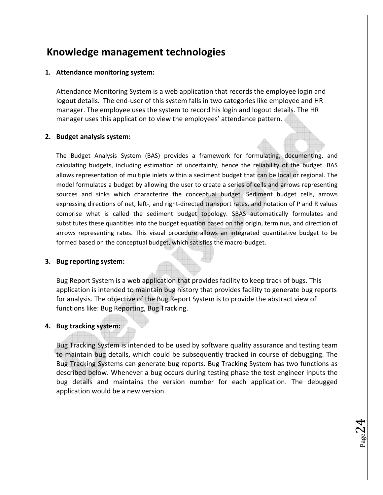### **Knowledge management technologies**

#### **1. Attendance monitoring system:**

Attendance Monitoring System is a web application that records the employee login and logout details. The end-user of this system falls in two categories like employee and HR manager. The employee uses the system to record his login and logout details. The HR manager uses this application to view the employees' attendance pattern.

#### **2. Budget analysis system:**

The Budget Analysis System (BAS) provides a framework for formulating, documenting, and calculating budgets, including estimation of uncertainty, hence the reliability of the budget. BAS allows representation of multiple inlets within a sediment budget that can be local or regional. The model formulates a budget by allowing the user to create a series of cells and arrows representing sources and sinks which characterize the conceptual budget. Sediment budget cells, arrows expressing directions of net, left-, and right-directed transport rates, and notation of P and R values comprise what is called the sediment budget topology. SBAS automatically formulates and substitutes these quantities into the budget equation based on the origin, terminus, and direction of arrows representing rates. This visual procedure allows an integrated quantitative budget to be formed based on the conceptual budget, which satisfies the macro‐budget.

#### **3. Bug reporting system:**

Bug Report System is a web application that provides facility to keep track of bugs. This application is intended to maintain bug history that provides facility to generate bug reports for analysis. The objective of the Bug Report System is to provide the abstract view of functions like: Bug Reporting, Bug Tracking.

#### **4. Bug tracking system:**

Bug Tracking System is intended to be used by software quality assurance and testing team to maintain bug details, which could be subsequently tracked in course of debugging. The Bug Tracking Systems can generate bug reports. Bug Tracking System has two functions as described below. Whenever a bug occurs during testing phase the test engineer inputs the bug details and maintains the version number for each application. The debugged application would be a new version.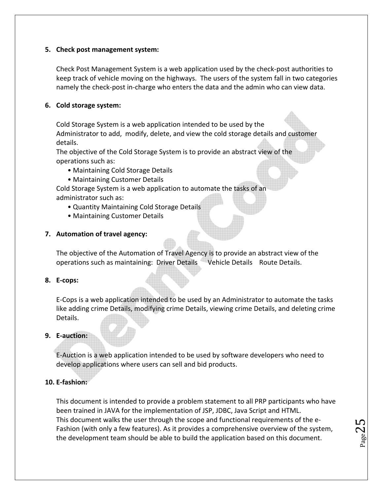#### **5. Check post management system:**

Check Post Management System is a web application used by the check‐post authorities to keep track of vehicle moving on the highways. The users of the system fall in two categories namely the check‐post in‐charge who enters the data and the admin who can view data.

#### **6. Cold storage system:**

Cold Storage System is a web application intended to be used by the

Administrator to add, modify, delete, and view the cold storage details and customer details.

The objective of the Cold Storage System is to provide an abstract view of the operations such as:

- Maintaining Cold Storage Details
- Maintaining Customer Details

Cold Storage System is a web application to automate the tasks of an administrator such as:

- Quantity Maintaining Cold Storage Details
- Maintaining Customer Details

#### **7. Automation of travel agency:**

The objective of the Automation of Travel Agency is to provide an abstract view of the operations such as maintaining: Driver Details Vehicle Details Route Details.

#### **8. E‐cops:**

E‐Cops is a web application intended to be used by an Administrator to automate the tasks like adding crime Details, modifying crime Details, viewing crime Details, and deleting crime Details.

#### **9. E‐auction:**

E‐Auction is a web application intended to be used by software developers who need to develop applications where users can sell and bid products.

#### **10. E‐fashion:**

This document is intended to provide a problem statement to all PRP participants who have been trained in JAVA for the implementation of JSP, JDBC, Java Script and HTML. This document walks the user through the scope and functional requirements of the e‐ Fashion (with only a few features). As it provides a comprehensive overview of the system, the development team should be able to build the application based on this document.

 $P_{\text{age}}25$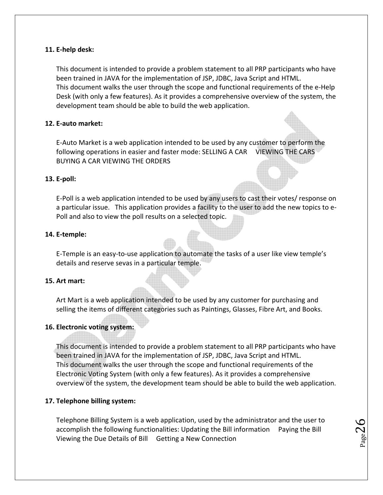#### **11. E‐help desk:**

This document is intended to provide a problem statement to all PRP participants who have been trained in JAVA for the implementation of JSP, JDBC, Java Script and HTML. This document walks the user through the scope and functional requirements of the e‐Help Desk (with only a few features). As it provides a comprehensive overview of the system, the development team should be able to build the web application.

#### **12. E‐auto market:**

E‐Auto Market is a web application intended to be used by any customer to perform the following operations in easier and faster mode: SELLING A CAR VIEWING THE CARS BUYING A CAR VIEWING THE ORDERS

#### **13. E‐poll:**

E‐Poll is a web application intended to be used by any users to cast their votes/ response on a particular issue. This application provides a facility to the user to add the new topics to e‐ Poll and also to view the poll results on a selected topic.

#### **14. E‐temple:**

E‐Temple is an easy‐to‐use application to automate the tasks of a user like view temple's details and reserve sevas in a particular temple.

#### **15. Art mart:**

Art Mart is a web application intended to be used by any customer for purchasing and selling the items of different categories such as Paintings, Glasses, Fibre Art, and Books.

#### **16. Electronic voting system:**

This document is intended to provide a problem statement to all PRP participants who have been trained in JAVA for the implementation of JSP, JDBC, Java Script and HTML. This document walks the user through the scope and functional requirements of the Electronic Voting System (with only a few features). As it provides a comprehensive overview of the system, the development team should be able to build the web application.

#### **17. Telephone billing system:**

Telephone Billing System is a web application, used by the administrator and the user to accomplish the following functionalities: Updating the Bill information Paying the Bill Viewing the Due Details of Bill Getting a New Connection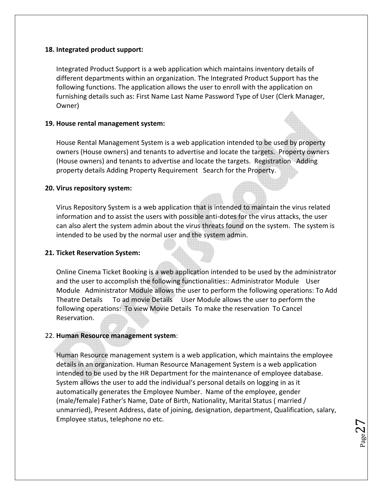#### **18. Integrated product support:**

Integrated Product Support is a web application which maintains inventory details of different departments within an organization. The Integrated Product Support has the following functions. The application allows the user to enroll with the application on furnishing details such as: First Name Last Name Password Type of User (Clerk Manager, Owner)

#### **19. House rental management system:**

House Rental Management System is a web application intended to be used by property owners (House owners) and tenants to advertise and locate the targets. Property owners (House owners) and tenants to advertise and locate the targets. Registration Adding property details Adding Property Requirement Search for the Property.

#### **20. Virus repository system:**

Virus Repository System is a web application that is intended to maintain the virus related information and to assist the users with possible anti‐dotes for the virus attacks, the user can also alert the system admin about the virus threats found on the system. The system is intended to be used by the normal user and the system admin.

#### **21. Ticket Reservation System:**

Online Cinema Ticket Booking is a web application intended to be used by the administrator and the user to accomplish the following functionalities:: Administrator Module User Module Administrator Module allows the user to perform the following operations: To Add Theatre Details To ad movie Details User Module allows the user to perform the following operations: To view Movie Details To make the reservation To Cancel Reservation.

#### 22. **Human Resource management system**:

Human Resource management system is a web application, which maintains the employee details in an organization. Human Resource Management System is a web application intended to be used by the HR Department for the maintenance of employee database. System allows the user to add the individual's personal details on logging in as it automatically generates the Employee Number. Name of the employee, gender (male/female) Father's Name, Date of Birth, Nationality, Marital Status ( married / unmarried), Present Address, date of joining, designation, department, Qualification, salary, Employee status, telephone no etc.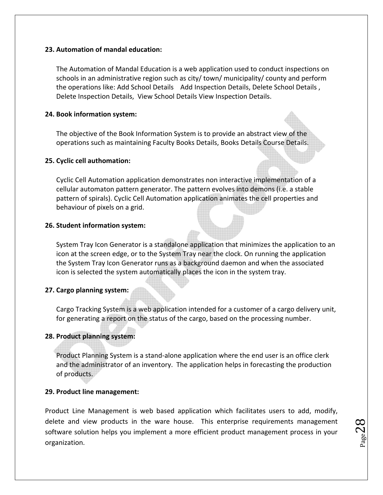#### **23. Automation of mandal education:**

The Automation of Mandal Education is a web application used to conduct inspections on schools in an administrative region such as city/ town/ municipality/ county and perform the operations like: Add School Details Add Inspection Details, Delete School Details , Delete Inspection Details, View School Details View Inspection Details.

#### **24. Book information system:**

The objective of the Book Information System is to provide an abstract view of the operations such as maintaining Faculty Books Details, Books Details Course Details.

#### **25. Cyclic cell authomation:**

Cyclic Cell Automation application demonstrates non interactive implementation of a cellular automaton pattern generator. The pattern evolves into demons (i.e. a stable pattern of spirals). Cyclic Cell Automation application animates the cell properties and behaviour of pixels on a grid.

#### **26. Student information system:**

System Tray Icon Generator is a standalone application that minimizes the application to an icon at the screen edge, or to the System Tray near the clock. On running the application the System Tray Icon Generator runs as a background daemon and when the associated icon is selected the system automatically places the icon in the system tray.

#### **27. Cargo planning system:**

Cargo Tracking System is a web application intended for a customer of a cargo delivery unit, for generating a report on the status of the cargo, based on the processing number.

#### **28. Product planning system:**

Product Planning System is a stand‐alone application where the end user is an office clerk and the administrator of an inventory. The application helps in forecasting the production of products.

#### **29. Product line management:**

Product Line Management is web based application which facilitates users to add, modify, delete and view products in the ware house. This enterprise requirements management software solution helps you implement a more efficient product management process in your organization.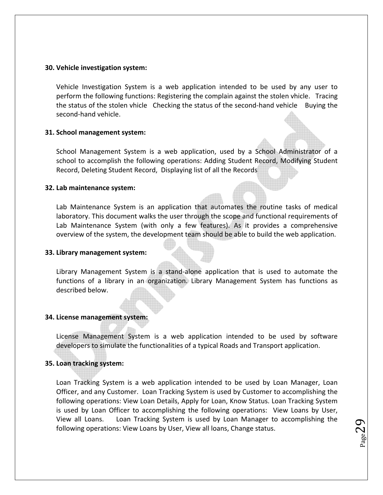#### **30. Vehicle investigation system:**

Vehicle Investigation System is a web application intended to be used by any user to perform the following functions: Registering the complain against the stolen vhicle. Tracing the status of the stolen vhicle Checking the status of the second‐hand vehicle Buying the second‐hand vehicle.

#### **31. School management system:**

School Management System is a web application, used by a School Administrator of a school to accomplish the following operations: Adding Student Record, Modifying Student Record, Deleting Student Record, Displaying list of all the Records

#### **32. Lab maintenance system:**

Lab Maintenance System is an application that automates the routine tasks of medical laboratory. This document walks the user through the scope and functional requirements of Lab Maintenance System (with only a few features). As it provides a comprehensive overview of the system, the development team should be able to build the web application.

#### **33. Library management system:**

Library Management System is a stand-alone application that is used to automate the functions of a library in an organization. Library Management System has functions as described below.

#### **34. License management system:**

License Management System is a web application intended to be used by software developers to simulate the functionalities of a typical Roads and Transport application.

#### **35. Loan tracking system:**

Loan Tracking System is a web application intended to be used by Loan Manager, Loan Officer, and any Customer. Loan Tracking System is used by Customer to accomplishing the following operations: View Loan Details, Apply for Loan, Know Status. Loan Tracking System is used by Loan Officer to accomplishing the following operations: View Loans by User, View all Loans. Loan Tracking System is used by Loan Manager to accomplishing the following operations: View Loans by User, View all loans, Change status.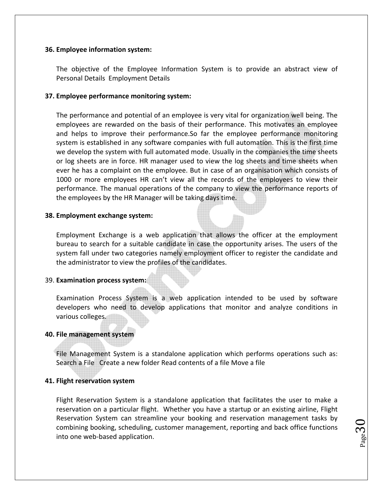#### **36. Employee information system:**

The objective of the Employee Information System is to provide an abstract view of Personal Details Employment Details

#### **37. Employee performance monitoring system:**

The performance and potential of an employee is very vital for organization well being. The employees are rewarded on the basis of their performance. This motivates an employee and helps to improve their performance.So far the employee performance monitoring system is established in any software companies with full automation. This is the first time we develop the system with full automated mode. Usually in the companies the time sheets or log sheets are in force. HR manager used to view the log sheets and time sheets when ever he has a complaint on the employee. But in case of an organisation which consists of 1000 or more employees HR can't view all the records of the employees to view their performance. The manual operations of the company to view the performance reports of the employees by the HR Manager will be taking days time.

#### **38. Employment exchange system:**

Employment Exchange is a web application that allows the officer at the employment bureau to search for a suitable candidate in case the opportunity arises. The users of the system fall under two categories namely employment officer to register the candidate and the administrator to view the profiles of the candidates.

#### 39. **Examination process system:**

Examination Process System is a web application intended to be used by software developers who need to develop applications that monitor and analyze conditions in various colleges.

#### **40. File management system**

File Management System is a standalone application which performs operations such as: Search a File Create a new folder Read contents of a file Move a file

#### **41. Flight reservation system**

Flight Reservation System is a standalone application that facilitates the user to make a reservation on a particular flight. Whether you have a startup or an existing airline, Flight Reservation System can streamline your booking and reservation management tasks by combining booking, scheduling, customer management, reporting and back office functions into one web‐based application.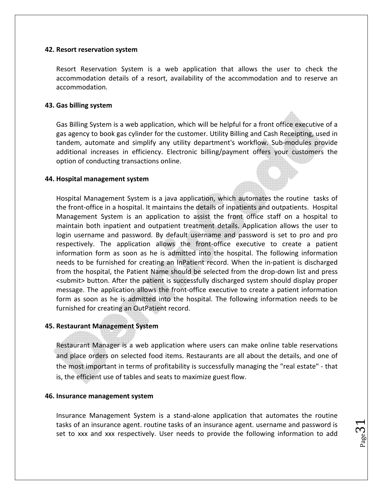#### **42. Resort reservation system**

Resort Reservation System is a web application that allows the user to check the accommodation details of a resort, availability of the accommodation and to reserve an accommodation.

#### **43. Gas billing system**

Gas Billing System is a web application, which will be helpful for a front office executive of a gas agency to book gas cylinder for the customer. Utility Billing and Cash Receipting, used in tandem, automate and simplify any utility department's workflow. Sub‐modules provide additional increases in efficiency. Electronic billing/payment offers your customers the option of conducting transactions online.

#### **44. Hospital management system**

Hospital Management System is a java application, which automates the routine tasks of the front‐office in a hospital. It maintains the details of inpatients and outpatients. Hospital Management System is an application to assist the front office staff on a hospital to maintain both inpatient and outpatient treatment details. Application allows the user to login username and password. By default username and password is set to pro and pro respectively. The application allows the front-office executive to create a patient information form as soon as he is admitted into the hospital. The following information needs to be furnished for creating an InPatient record. When the in‐patient is discharged from the hospital, the Patient Name should be selected from the drop-down list and press <submit> button. After the patient is successfully discharged system should display proper message. The application allows the front‐office executive to create a patient information form as soon as he is admitted into the hospital. The following information needs to be furnished for creating an OutPatient record.

#### **45. Restaurant Management System**

Restaurant Manager is a web application where users can make online table reservations and place orders on selected food items. Restaurants are all about the details, and one of the most important in terms of profitability is successfully managing the "real estate" ‐ that is, the efficient use of tables and seats to maximize guest flow.

#### **46. Insurance management system**

Insurance Management System is a stand‐alone application that automates the routine tasks of an insurance agent. routine tasks of an insurance agent. username and password is set to xxx and xxx respectively. User needs to provide the following information to add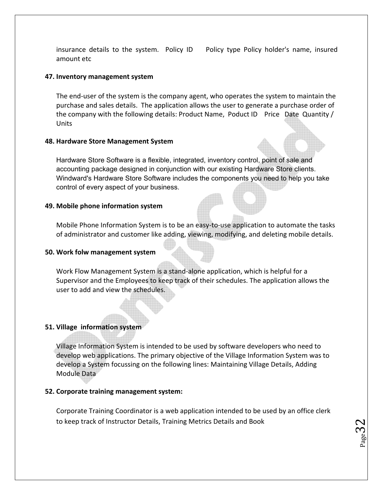insurance details to the system. Policy ID Policy type Policy holder's name, insured amount etc

 $_{\rm Page}$ 32

#### **47. Inventory management system**

The end‐user of the system is the company agent, who operates the system to maintain the purchase and sales details. The application allows the user to generate a purchase order of the company with the following details: Product Name, Poduct ID Price Date Quantity / Units

#### **48. Hardware Store Management System**

Hardware Store Software is a flexible, integrated, inventory control, point of sale and accounting package designed in conjunction with our existing Hardware Store clients. Windward's Hardware Store Software includes the components you need to help you take control of every aspect of your business.

#### **49. Mobile phone information system**

Mobile Phone Information System is to be an easy-to-use application to automate the tasks of administrator and customer like adding, viewing, modifying, and deleting mobile details.

#### **50. Work folw management system**

Work Flow Management System is a stand‐alone application, which is helpful for a Supervisor and the Employees to keep track of their schedules. The application allows the user to add and view the schedules.

#### **51. Village information system**

Village Information System is intended to be used by software developers who need to develop web applications. The primary objective of the Village Information System was to develop a System focussing on the following lines: Maintaining Village Details, Adding Module Data

#### **52. Corporate training management system:**

Corporate Training Coordinator is a web application intended to be used by an office clerk to keep track of Instructor Details, Training Metrics Details and Book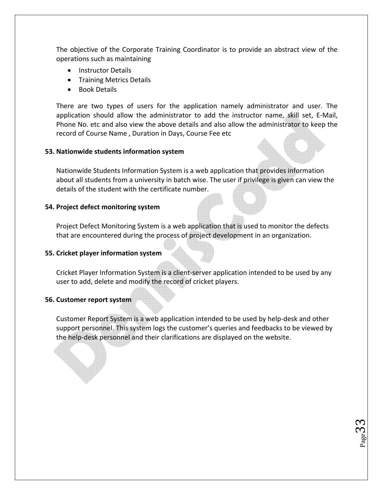The objective of the Corporate Training Coordinator is to provide an abstract view of the operations such as maintaining

- Instructor Details
- Training Metrics Details
- Book Details

There are two types of users for the application namely administrator and user. The application should allow the administrator to add the instructor name, skill set, E‐Mail, Phone No. etc and also view the above details and also allow the administrator to keep the record of Course Name , Duration in Days, Course Fee etc

#### **53. Nationwide students information system**

Nationwide Students Information System is a web application that provides information about all students from a university in batch wise. The user if privilege is given can view the details of the student with the certificate number.

#### **54. Project defect monitoring system**

Project Defect Monitoring System is a web application that is used to monitor the defects that are encountered during the process of project development in an organization.

#### **55. Cricket player information system**

Cricket Player Information System is a client‐server application intended to be used by any user to add, delete and modify the record of cricket players.

#### **56. Customer report system**

Customer Report System is a web application intended to be used by help‐desk and other support personnel. This system logs the customer's queries and feedbacks to be viewed by the help‐desk personnel and their clarifications are displayed on the website.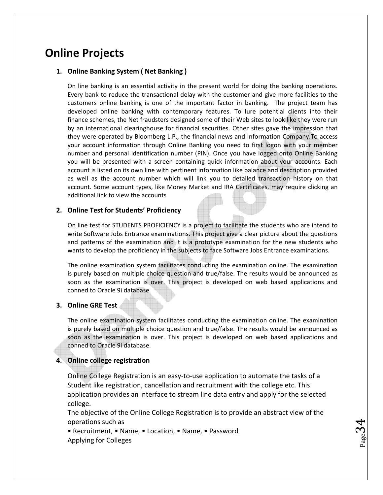### **Online Projects**

#### **1. Online Banking System ( Net Banking )**

On line banking is an essential activity in the present world for doing the banking operations. Every bank to reduce the transactional delay with the customer and give more facilities to the customers online banking is one of the important factor in banking. The project team has developed online banking with contemporary features. To lure potential clients into their finance schemes, the Net fraudsters designed some of their Web sites to look like they were run by an international clearinghouse for financial securities. Other sites gave the impression that they were operated by Bloomberg L.P., the financial news and Information Company.To access your account information through Online Banking you need to first logon with your member number and personal identification number (PIN). Once you have logged onto Online Banking you will be presented with a screen containing quick information about your accounts. Each account is listed on its own line with pertinent information like balance and description provided as well as the account number which will link you to detailed transaction history on that account. Some account types, like Money Market and IRA Certificates, may require clicking an additional link to view the accounts

#### **2. Online Test for Students' Proficiency**

On line test for STUDENTS PROFICIENCY is a project to facilitate the students who are intend to write Software Jobs Entrance examinations. This project give a clear picture about the questions and patterns of the examination and it is a prototype examination for the new students who wants to develop the proficiency in the subjects to face Software Jobs Entrance examinations.

The online examination system facilitates conducting the examination online. The examination is purely based on multiple choice question and true/false. The results would be announced as soon as the examination is over. This project is developed on web based applications and conned to Oracle 9i database.

#### **3. Online GRE Test**

The online examination system facilitates conducting the examination online. The examination is purely based on multiple choice question and true/false. The results would be announced as soon as the examination is over. This project is developed on web based applications and conned to Oracle 9i database.

#### **4. Online college registration**

Online College Registration is an easy‐to‐use application to automate the tasks of a Student like registration, cancellation and recruitment with the college etc. This application provides an interface to stream line data entry and apply for the selected college.

The objective of the Online College Registration is to provide an abstract view of the operations such as

 $_{\rm Page}$ 34

• Recruitment, • Name, • Location, • Name, • Password Applying for Colleges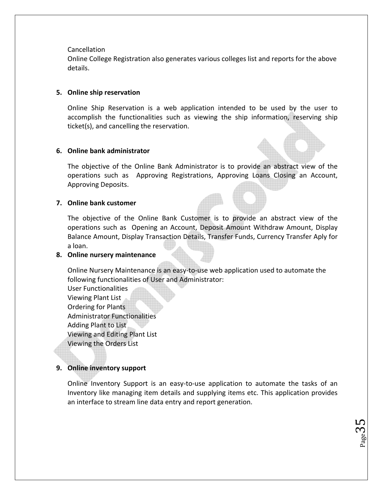#### Cancellation

Online College Registration also generates various colleges list and reports for the above details.

#### **5. Online ship reservation**

Online Ship Reservation is a web application intended to be used by the user to accomplish the functionalities such as viewing the ship information, reserving ship ticket(s), and cancelling the reservation.

#### **6. Online bank administrator**

The objective of the Online Bank Administrator is to provide an abstract view of the operations such as Approving Registrations, Approving Loans Closing an Account, Approving Deposits.

#### **7. Online bank customer**

The objective of the Online Bank Customer is to provide an abstract view of the operations such as Opening an Account, Deposit Amount Withdraw Amount, Display Balance Amount, Display Transaction Details, Transfer Funds, Currency Transfer Aply for a loan.

#### **8. Online nursery maintenance**

Online Nursery Maintenance is an easy‐to‐use web application used to automate the following functionalities of User and Administrator:

User Functionalities Viewing Plant List Ordering for Plants Administrator Functionalities Adding Plant to List Viewing and Editing Plant List Viewing the Orders List

#### **9. Online inventory support**

Online Inventory Support is an easy-to-use application to automate the tasks of an Inventory like managing item details and supplying items etc. This application provides an interface to stream line data entry and report generation.

 $P_{\text{age}}$ 35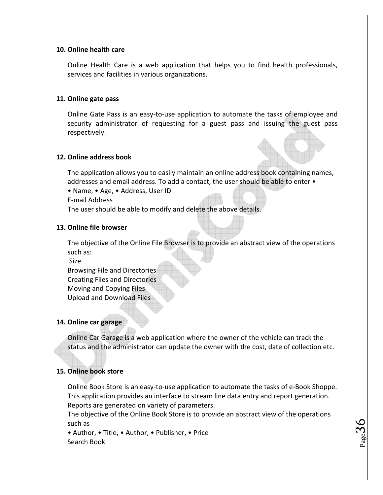#### **10. Online health care**

Online Health Care is a web application that helps you to find health professionals, services and facilities in various organizations.

#### **11. Online gate pass**

Online Gate Pass is an easy‐to‐use application to automate the tasks of employee and security administrator of requesting for a guest pass and issuing the guest pass respectively.

#### **12. Online address book**

The application allows you to easily maintain an online address book containing names, addresses and email address. To add a contact, the user should be able to enter  $\bullet$ 

• Name, • Age, • Address, User ID

E‐mail Address

The user should be able to modify and delete the above details.

#### **13. Online file browser**

The objective of the Online File Browser is to provide an abstract view of the operations such as:

Size

Browsing File and Directories Creating Files and Directories Moving and Copying Files Upload and Download Files

#### **14. Online car garage**

Online Car Garage is a web application where the owner of the vehicle can track the status and the administrator can update the owner with the cost, date of collection etc.

#### **15. Online book store**

Online Book Store is an easy‐to‐use application to automate the tasks of e‐Book Shoppe. This application provides an interface to stream line data entry and report generation. Reports are generated on variety of parameters.

The objective of the Online Book Store is to provide an abstract view of the operations such as

 $_{\rm Page}$ 36

• Author, • Title, • Author, • Publisher, • Price Search Book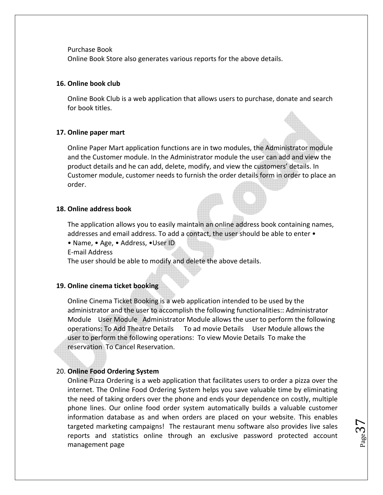Purchase Book

Online Book Store also generates various reports for the above details.

#### **16. Online book club**

Online Book Club is a web application that allows users to purchase, donate and search for book titles.

#### **17. Online paper mart**

Online Paper Mart application functions are in two modules, the Administrator module and the Customer module. In the Administrator module the user can add and view the product details and he can add, delete, modify, and view the customers' details. In Customer module, customer needs to furnish the order details form in order to place an order.

#### **18. Online address book**

The application allows you to easily maintain an online address book containing names, addresses and email address. To add a contact, the user should be able to enter •

• Name, • Age, • Address, •User ID

E‐mail Address

The user should be able to modify and delete the above details.

#### **19. Online cinema ticket booking**

Online Cinema Ticket Booking is a web application intended to be used by the administrator and the user to accomplish the following functionalities:: Administrator Module User Module Administrator Module allows the user to perform the following operations: To Add Theatre Details To ad movie Details User Module allows the user to perform the following operations: To view Movie Details To make the reservation To Cancel Reservation.

#### 20. **Online Food Ordering System**

Online Pizza Ordering is a web application that facilitates users to order a pizza over the internet. The Online Food Ordering System helps you save valuable time by eliminating the need of taking orders over the phone and ends your dependence on costly, multiple phone lines. Our online food order system automatically builds a valuable customer information database as and when orders are placed on your website. This enables targeted marketing campaigns! The restaurant menu software also provides live sales reports and statistics online through an exclusive password protected account management page